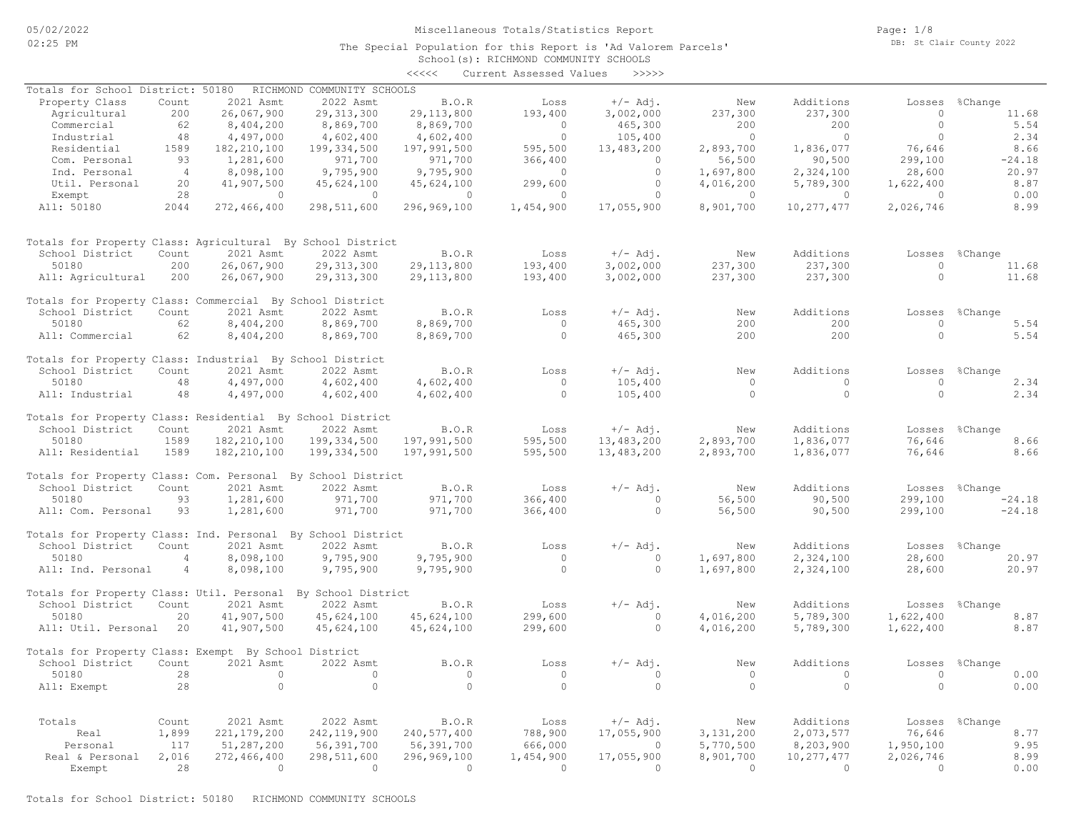Page: 1/8 DB: St Clair County 2022

|                                                             |                |               |                            | <<<<         | Current Assessed Values | >>>>>      |             |              |           |                |
|-------------------------------------------------------------|----------------|---------------|----------------------------|--------------|-------------------------|------------|-------------|--------------|-----------|----------------|
| Totals for School District: 50180                           |                |               | RICHMOND COMMUNITY SCHOOLS |              |                         |            |             |              |           |                |
| Property Class                                              | Count          | 2021 Asmt     | 2022 Asmt                  | B.O.R        | Loss                    | $+/-$ Adj. | New         | Additions    | Losses    | %Change        |
| Agricultural                                                | 200            | 26,067,900    | 29, 313, 300               | 29, 113, 800 | 193,400                 | 3,002,000  | 237,300     | 237,300      | $\circ$   | 11.68          |
| Commercial                                                  | 62             | 8,404,200     | 8,869,700                  | 8,869,700    | $\circ$                 | 465,300    | 200         | 200          | $\circ$   | 5.54           |
| Industrial                                                  | 48             | 4,497,000     | 4,602,400                  | 4,602,400    | $\circ$                 | 105,400    | $\circ$     | $\circ$      | $\circ$   | 2.34           |
| Residential                                                 | 1589           | 182, 210, 100 | 199, 334, 500              | 197,991,500  | 595,500                 | 13,483,200 | 2,893,700   | 1,836,077    | 76,646    | 8.66           |
| Com. Personal                                               | 93             | 1,281,600     | 971,700                    | 971,700      | 366,400                 | $\circ$    | 56,500      | 90,500       | 299,100   | $-24.18$       |
| Ind. Personal                                               | $\overline{4}$ | 8,098,100     | 9,795,900                  | 9,795,900    | $\circ$                 | $\circ$    | 1,697,800   | 2,324,100    | 28,600    | 20.97          |
| Util. Personal                                              | 20             | 41,907,500    | 45,624,100                 | 45,624,100   | 299,600                 | $\circ$    | 4,016,200   | 5,789,300    | 1,622,400 | 8.87           |
| Exempt                                                      | 28             | $\circ$       | $\circ$                    | $\circ$      | $\Omega$                | $\circ$    | $\circ$     | $\circ$      | $\Omega$  | 0.00           |
| All: 50180                                                  | 2044           | 272,466,400   | 298,511,600                | 296,969,100  | 1,454,900               | 17,055,900 | 8,901,700   | 10,277,477   | 2,026,746 | 8.99           |
|                                                             |                |               |                            |              |                         |            |             |              |           |                |
| Totals for Property Class: Agricultural By School District  |                |               |                            |              |                         |            |             |              |           |                |
| School District                                             | Count          | 2021 Asmt     | 2022 Asmt                  | B.O.R        | Loss                    | $+/-$ Adj. | New         | Additions    | Losses    | %Change        |
| 50180                                                       | 200            | 26,067,900    | 29, 313, 300               | 29, 113, 800 | 193,400                 | 3,002,000  | 237,300     | 237,300      | $\circ$   | 11.68          |
| All: Agricultural                                           | 200            | 26,067,900    | 29, 313, 300               | 29, 113, 800 | 193,400                 | 3,002,000  | 237,300     | 237,300      | $\circ$   | 11.68          |
|                                                             |                |               |                            |              |                         |            |             |              |           |                |
| Totals for Property Class: Commercial By School District    |                |               |                            |              |                         |            |             |              |           |                |
| School District                                             | Count          | 2021 Asmt     | 2022 Asmt                  | B.O.R        | Loss                    | $+/-$ Adj. | New         | Additions    | Losses    | %Change        |
| 50180                                                       | 62             | 8,404,200     | 8,869,700                  | 8,869,700    | $\circ$                 | 465,300    | 200         | 200          | $\circ$   | 5.54           |
| All: Commercial                                             | 62             | 8,404,200     | 8,869,700                  | 8,869,700    | $\Omega$                | 465,300    | 200         | 200          | $\Omega$  | 5.54           |
| Totals for Property Class: Industrial By School District    |                |               |                            |              |                         |            |             |              |           |                |
| School District                                             | Count          | 2021 Asmt     | 2022 Asmt                  | B.O.R        | Loss                    | $+/-$ Adj. | New         | Additions    | Losses    | %Change        |
| 50180                                                       | 48             | 4,497,000     | 4,602,400                  | 4,602,400    | $\circ$                 | 105,400    | $\circ$     | $\Omega$     | $\circ$   | 2.34           |
| All: Industrial                                             | 48             | 4,497,000     | 4,602,400                  | 4,602,400    | $\Omega$                | 105,400    | $\circ$     | $\circ$      | $\Omega$  | 2.34           |
|                                                             |                |               |                            |              |                         |            |             |              |           |                |
| Totals for Property Class: Residential By School District   |                |               |                            |              |                         |            |             |              |           |                |
| School District                                             | Count          | 2021 Asmt     | 2022 Asmt                  | B.O.R        | Loss                    | $+/-$ Adj. | New         | Additions    |           | Losses %Change |
| 50180                                                       | 1589           | 182, 210, 100 | 199,334,500                | 197,991,500  | 595,500                 | 13,483,200 | 2,893,700   | 1,836,077    | 76,646    | 8.66           |
| All: Residential                                            | 1589           | 182, 210, 100 | 199,334,500                | 197,991,500  | 595,500                 | 13,483,200 | 2,893,700   | 1,836,077    | 76,646    | 8.66           |
| Totals for Property Class: Com. Personal By School District |                |               |                            |              |                         |            |             |              |           |                |
| School District                                             | Count          | 2021 Asmt     | 2022 Asmt                  | B.O.R        | Loss                    | $+/-$ Adj. | New         | Additions    | Losses    | %Change        |
| 50180                                                       | 93             | 1,281,600     | 971,700                    | 971,700      | 366,400                 | $\circ$    | 56,500      | 90,500       | 299,100   | $-24.18$       |
| All: Com. Personal                                          | 93             | 1,281,600     | 971,700                    | 971,700      | 366,400                 | $\Omega$   | 56,500      | 90,500       | 299,100   | $-24.18$       |
| Totals for Property Class: Ind. Personal By School District |                |               |                            |              |                         |            |             |              |           |                |
| School District                                             | Count          | 2021 Asmt     | 2022 Asmt                  | B.O.R        | Loss                    | $+/-$ Adj. | New         | Additions    | Losses    | %Change        |
| 50180                                                       | $\overline{4}$ | 8,098,100     | 9,795,900                  | 9,795,900    | $\overline{0}$          | $\circ$    | 1,697,800   | 2,324,100    | 28,600    | 20.97          |
| All: Ind. Personal                                          | 4              | 8,098,100     | 9,795,900                  | 9,795,900    | $\circ$                 | $\circ$    | 1,697,800   | 2,324,100    | 28,600    | 20.97          |
|                                                             |                |               |                            |              |                         |            |             |              |           |                |
| Totals for Property Class: Util. Personal                   |                |               | By School District         |              |                         |            |             |              |           |                |
| School District                                             | Count          | 2021 Asmt     | 2022 Asmt                  | B.O.R        | Loss                    | $+/-$ Adj. | New         | Additions    | Losses    | %Change        |
| 50180                                                       | 20             | 41,907,500    | 45,624,100                 | 45,624,100   | 299,600                 | $\circ$    | 4,016,200   | 5,789,300    | 1,622,400 | 8.87           |
| All: Util. Personal                                         | 20             | 41,907,500    | 45,624,100                 | 45,624,100   | 299,600                 | $\circ$    | 4,016,200   | 5,789,300    | 1,622,400 | 8.87           |
| Totals for Property Class: Exempt By School District        |                |               |                            |              |                         |            |             |              |           |                |
| School District                                             | Count          | 2021 Asmt     | 2022 Asmt                  | B.O.R        | Loss                    | $+/-$ Adj. | New         | Additions    | Losses    | %Change        |
| 50180                                                       | 28             | $\circ$       | $\circ$                    | $\circ$      | $\circ$                 | $\circ$    | $\circ$     | $\circ$      | $\circ$   | 0.00           |
| All: Exempt                                                 | 28             | $\circ$       | $\circ$                    | $\circ$      | $\Omega$                | $\circ$    | $\Omega$    | $\circ$      | $\circ$   | 0.00           |
|                                                             |                |               |                            |              |                         |            |             |              |           |                |
| Totals                                                      | Count          | 2021 Asmt     | 2022 Asmt                  | B.O.R        | Loss                    | $+/-$ Adj. | New         | Additions    |           | Losses %Change |
| Real                                                        | 1,899          | 221, 179, 200 | 242, 119, 900              | 240,577,400  | 788,900                 | 17,055,900 | 3, 131, 200 | 2,073,577    | 76,646    | 8.77           |
| Personal                                                    | 117            | 51,287,200    | 56,391,700                 | 56,391,700   | 666,000                 | $\circ$    | 5,770,500   | 8,203,900    | 1,950,100 | 9.95           |
| Real & Personal                                             | 2,016          | 272,466,400   | 298,511,600                | 296,969,100  | 1,454,900               | 17,055,900 | 8,901,700   | 10, 277, 477 | 2,026,746 | 8.99           |
| Exempt                                                      | 28             | $\Omega$      | $\Omega$                   | $\Omega$     | $\Omega$                | $\Omega$   | $\Omega$    | $\Omega$     | $\Omega$  | 0.00           |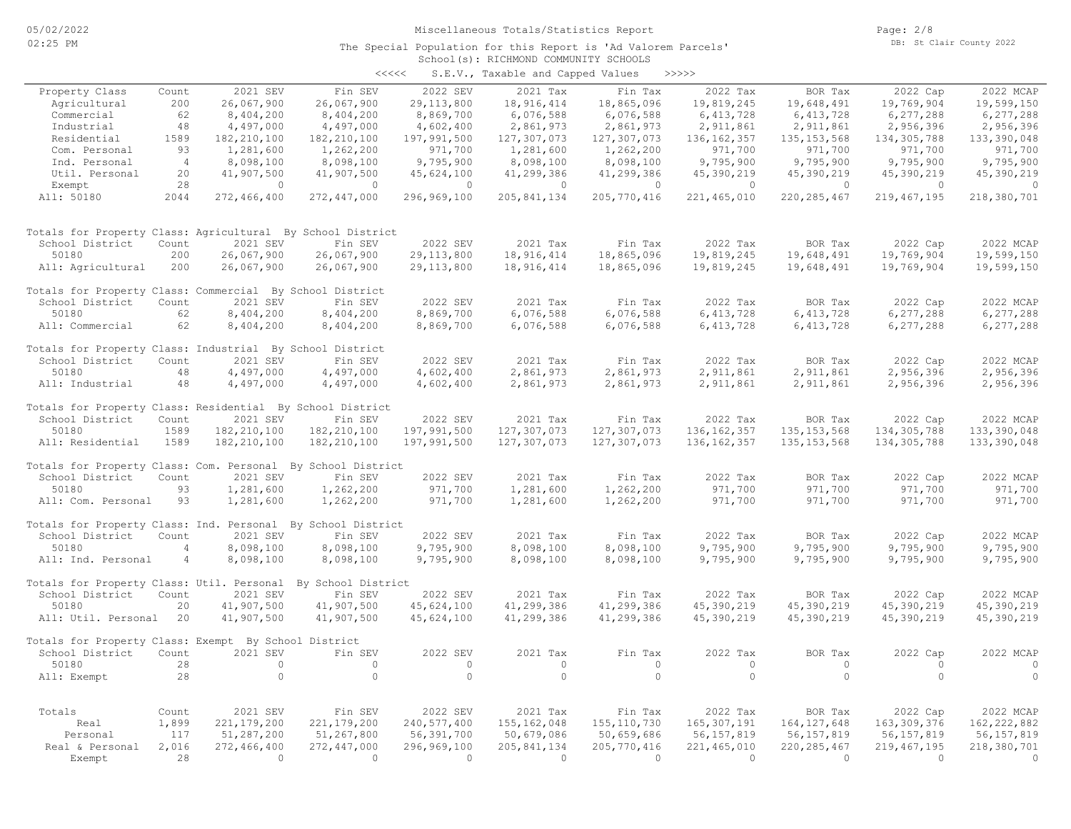| くくくくく | S.E.V., Taxable and Capped Values |  | >>>>>> |
|-------|-----------------------------------|--|--------|

|                                                             |                |                             |                             |                           | $5.21.7$ candidate and $54.7$ |                           |                               |                               |                               |                             |
|-------------------------------------------------------------|----------------|-----------------------------|-----------------------------|---------------------------|-------------------------------|---------------------------|-------------------------------|-------------------------------|-------------------------------|-----------------------------|
| Property Class                                              | Count          | 2021 SEV                    | Fin SEV                     | 2022 SEV                  | 2021 Tax                      | Fin Tax                   | 2022 Tax                      | BOR Tax                       | 2022 Cap                      | 2022 MCAP                   |
| Agricultural                                                | 200            | 26,067,900                  | 26,067,900                  | 29, 113, 800              | 18,916,414                    | 18,865,096                | 19,819,245                    | 19,648,491                    | 19,769,904                    | 19,599,150                  |
| Commercial                                                  | 62             | 8,404,200                   | 8,404,200                   | 8,869,700                 | 6,076,588                     | 6,076,588                 | 6, 413, 728                   | 6, 413, 728                   | 6,277,288                     | 6,277,288                   |
| Industrial                                                  | 48             | 4,497,000                   | 4,497,000                   | 4,602,400                 | 2,861,973                     | 2,861,973                 | 2,911,861                     | 2,911,861                     | 2,956,396                     | 2,956,396                   |
| Residential                                                 | 1589           | 182, 210, 100               | 182, 210, 100               | 197,991,500               | 127,307,073                   | 127,307,073               | 136, 162, 357                 | 135, 153, 568                 | 134, 305, 788                 | 133,390,048                 |
| Com. Personal                                               | 93             | 1,281,600                   | 1,262,200                   | 971,700                   | 1,281,600                     | 1,262,200                 | 971,700                       | 971,700                       | 971,700                       | 971,700                     |
| Ind. Personal                                               | $\overline{4}$ | 8,098,100                   | 8,098,100                   | 9,795,900                 | 8,098,100                     | 8,098,100                 | 9,795,900                     | 9,795,900                     | 9,795,900                     | 9,795,900                   |
| Util. Personal                                              | 20             | 41,907,500                  | 41,907,500                  | 45,624,100                | 41,299,386                    | 41,299,386                | 45,390,219                    | 45,390,219                    | 45,390,219                    | 45,390,219                  |
| Exempt                                                      | 28             | $\circ$                     | $\circ$                     | $\circ$                   | $\overline{0}$                | $\circ$                   | $\overline{0}$                | $\circ$                       | $\overline{0}$                | $\circ$                     |
| All: 50180                                                  | 2044           | 272,466,400                 | 272,447,000                 | 296,969,100               | 205, 841, 134                 | 205, 770, 416             | 221,465,010                   | 220, 285, 467                 | 219, 467, 195                 | 218,380,701                 |
| Totals for Property Class: Agricultural By School District  |                |                             |                             |                           |                               |                           |                               |                               |                               |                             |
| School District                                             | Count          | 2021 SEV                    | Fin SEV                     | 2022 SEV                  | 2021 Tax                      | Fin Tax                   | 2022 Tax                      | BOR Tax                       | 2022 Cap                      | 2022 MCAP                   |
| 50180                                                       | 200            | 26,067,900                  | 26,067,900                  | 29, 113, 800              | 18,916,414                    | 18,865,096                | 19,819,245                    | 19,648,491                    | 19,769,904                    | 19,599,150                  |
| All: Agricultural                                           | 200            | 26,067,900                  | 26,067,900                  | 29, 113, 800              | 18,916,414                    | 18,865,096                | 19,819,245                    | 19,648,491                    | 19,769,904                    | 19,599,150                  |
| Totals for Property Class: Commercial By School District    |                |                             |                             |                           |                               |                           |                               |                               |                               |                             |
| School District                                             | Count          | 2021 SEV                    | Fin SEV                     | 2022 SEV                  | 2021 Tax                      | Fin Tax                   | 2022 Tax                      | BOR Tax                       | 2022 Cap                      | 2022 MCAP                   |
| 50180                                                       | 62             | 8,404,200                   | 8,404,200                   | 8,869,700                 | 6,076,588                     | 6,076,588                 | 6, 413, 728                   | 6, 413, 728                   | 6,277,288                     | 6,277,288                   |
| All: Commercial                                             | 62             | 8,404,200                   | 8,404,200                   | 8,869,700                 | 6,076,588                     | 6,076,588                 | 6,413,728                     | 6, 413, 728                   | 6,277,288                     | 6,277,288                   |
| Totals for Property Class: Industrial By School District    |                |                             |                             |                           |                               |                           |                               |                               |                               |                             |
| School District                                             | Count          | 2021 SEV                    | Fin SEV                     | 2022 SEV                  | 2021 Tax                      | Fin Tax                   | 2022 Tax                      | BOR Tax                       | 2022 Cap                      | 2022 MCAP                   |
| 50180                                                       | 48             | 4,497,000                   | 4,497,000                   | 4,602,400                 | 2,861,973                     | 2,861,973                 | 2,911,861                     | 2,911,861                     | 2,956,396                     | 2,956,396                   |
| All: Industrial                                             | 48             | 4,497,000                   | 4,497,000                   | 4,602,400                 | 2,861,973                     | 2,861,973                 | 2,911,861                     | 2,911,861                     | 2,956,396                     | 2,956,396                   |
| Totals for Property Class: Residential By School District   |                |                             |                             |                           |                               |                           |                               |                               |                               |                             |
| School District                                             | Count          | 2021 SEV                    | Fin SEV                     | 2022 SEV                  | 2021 Tax                      | Fin Tax                   | 2022 Tax                      | BOR Tax                       | 2022 Cap                      | 2022 MCAP                   |
| 50180                                                       | 1589           | 182, 210, 100               | 182,210,100                 | 197,991,500               | 127,307,073                   | 127,307,073               | 136, 162, 357                 | 135, 153, 568                 | 134, 305, 788                 | 133,390,048                 |
| All: Residential                                            | 1589           | 182, 210, 100               | 182, 210, 100               | 197,991,500               | 127,307,073                   | 127,307,073               | 136, 162, 357                 | 135, 153, 568                 | 134,305,788                   | 133,390,048                 |
| Totals for Property Class: Com. Personal By School District |                |                             |                             |                           |                               |                           |                               |                               |                               |                             |
| School District                                             | Count          | 2021 SEV                    | Fin SEV                     | 2022 SEV                  | 2021 Tax                      | Fin Tax                   | 2022 Tax                      | BOR Tax                       | 2022 Cap                      | 2022 MCAP                   |
| 50180                                                       | 93             | 1,281,600                   | 1,262,200                   | 971,700                   | 1,281,600                     | 1,262,200                 | 971,700                       | 971,700                       | 971,700                       | 971,700                     |
| All: Com. Personal                                          | 93             | 1,281,600                   | 1,262,200                   | 971,700                   | 1,281,600                     | 1,262,200                 | 971,700                       | 971,700                       | 971,700                       | 971,700                     |
| Totals for Property Class: Ind. Personal By School District |                |                             |                             |                           |                               |                           |                               |                               |                               |                             |
| School District                                             | Count          | 2021 SEV                    | Fin SEV                     | 2022 SEV                  | 2021 Tax                      | Fin Tax                   | 2022 Tax                      | BOR Tax                       | 2022 Cap                      | 2022 MCAP                   |
| 50180                                                       | $\overline{4}$ | 8,098,100                   | 8,098,100                   | 9,795,900                 | 8,098,100                     | 8,098,100                 | 9,795,900                     | 9,795,900                     | 9,795,900                     | 9,795,900                   |
| All: Ind. Personal                                          | $\overline{4}$ | 8,098,100                   | 8,098,100                   | 9,795,900                 | 8,098,100                     | 8,098,100                 | 9,795,900                     | 9,795,900                     | 9,795,900                     | 9,795,900                   |
| Totals for Property Class: Util. Personal                   |                |                             | By School District          |                           |                               |                           |                               |                               |                               |                             |
| School District                                             | Count          | 2021 SEV                    | Fin SEV                     | 2022 SEV                  | 2021 Tax                      | Fin Tax                   | 2022 Tax                      | BOR Tax                       | 2022 Cap                      | 2022 MCAP                   |
| 50180                                                       | 20             | 41,907,500                  | 41,907,500                  | 45,624,100                | 41,299,386                    | 41,299,386                | 45,390,219                    | 45,390,219                    | 45,390,219                    | 45,390,219                  |
| All: Util. Personal                                         | 20             | 41,907,500                  | 41,907,500                  | 45,624,100                | 41,299,386                    | 41,299,386                | 45,390,219                    | 45,390,219                    | 45,390,219                    | 45,390,219                  |
| Totals for Property Class: Exempt By School District        |                |                             |                             |                           |                               |                           |                               |                               |                               |                             |
| School District                                             | Count          | 2021 SEV                    | Fin SEV                     | 2022 SEV                  | 2021 Tax                      | Fin Tax                   | 2022 Tax                      | BOR Tax                       | 2022 Cap                      | 2022 MCAP                   |
| 50180                                                       | 28             | $\circ$                     | $\circ$                     | $\circ$                   | $\circ$                       | $\circ$                   | $\circ$                       | $\circ$                       | $\circ$                       | $\circ$                     |
| All: Exempt                                                 | 28             | $\circ$                     | $\circ$                     | $\circ$                   | $\circ$                       | $\circ$                   | $\circ$                       | $\circ$                       | $\Omega$                      | $\circ$                     |
|                                                             |                |                             |                             |                           |                               |                           |                               |                               |                               |                             |
| Totals                                                      | Count          | 2021 SEV                    | Fin SEV                     | 2022 SEV                  | 2021 Tax                      | Fin Tax                   | 2022 Tax                      | BOR Tax                       | 2022 Cap                      | 2022 MCAP                   |
| Real<br>Personal                                            | 1,899<br>117   | 221, 179, 200<br>51,287,200 | 221, 179, 200<br>51,267,800 | 240,577,400<br>56,391,700 | 155, 162, 048                 | 155, 110, 730             | 165, 307, 191                 | 164, 127, 648                 | 163, 309, 376                 | 162, 222, 882               |
| Real & Personal                                             | 2,016          | 272,466,400                 | 272,447,000                 | 296,969,100               | 50,679,086<br>205,841,134     | 50,659,686<br>205,770,416 | 56, 157, 819<br>221, 465, 010 | 56, 157, 819<br>220, 285, 467 | 56, 157, 819<br>219, 467, 195 | 56, 157, 819<br>218,380,701 |
| Exempt                                                      | 28             | $\Omega$                    | $\overline{0}$              | $\overline{0}$            | $\bigcirc$                    | $\Omega$                  | $\Omega$                      | $\bigcirc$                    | $\bigcirc$                    | $\Omega$                    |
|                                                             |                |                             |                             |                           |                               |                           |                               |                               |                               |                             |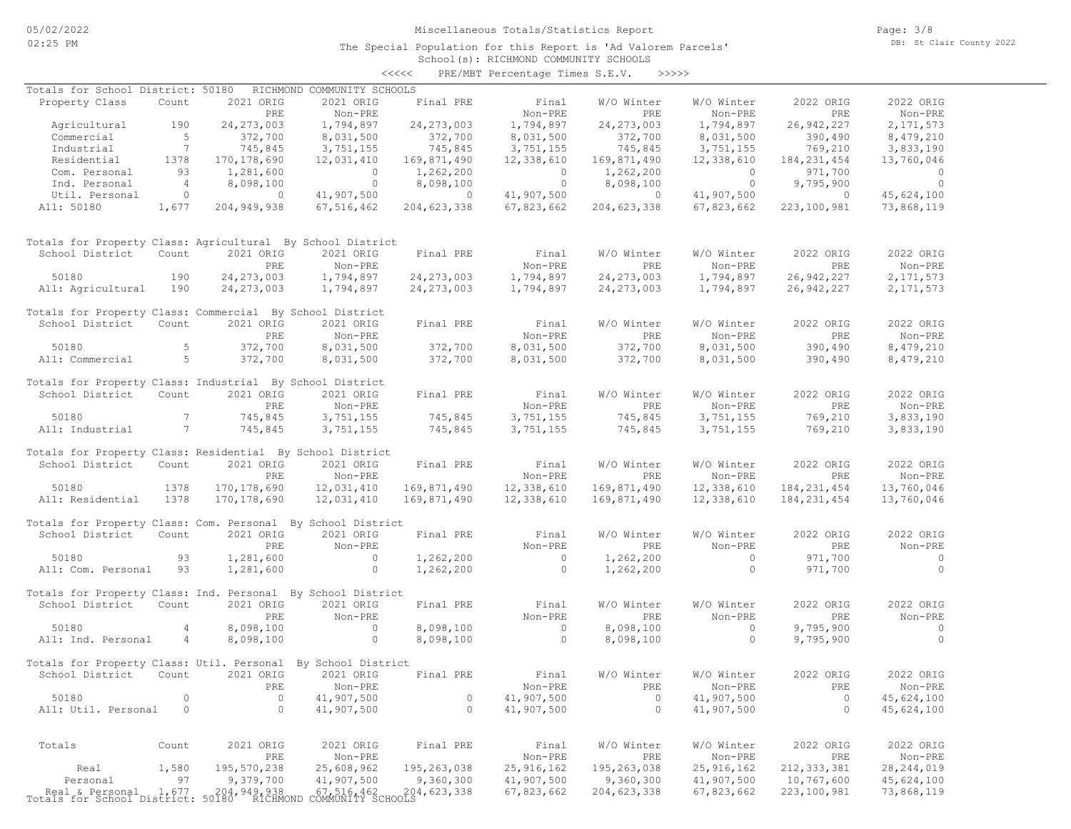Page: 3/8 DB: St Clair County 2022

## School(s): RICHMOND COMMUNITY SCHOOLS <<<<< PRE/MBT Percentage Times S.E.V. >>>>>

| Totals for School District: 50180                                               |                 |               | RICHMOND COMMUNITY SCHOOLS |                                             |                |                |              |               |                |
|---------------------------------------------------------------------------------|-----------------|---------------|----------------------------|---------------------------------------------|----------------|----------------|--------------|---------------|----------------|
| Property Class                                                                  | Count           | 2021 ORIG     | 2021 ORIG                  | Final PRE                                   | Final          | W/O Winter     | W/O Winter   | 2022 ORIG     | 2022 ORIG      |
|                                                                                 |                 | PRE           | Non-PRE                    |                                             | Non-PRE        | PRE            | Non-PRE      | PRE           | Non-PRE        |
| Agricultural                                                                    | 190             | 24, 273, 003  | 1,794,897                  | 24, 273, 003                                | 1,794,897      | 24, 273, 003   | 1,794,897    | 26,942,227    | 2, 171, 573    |
| Commercial                                                                      | $5^{\circ}$     | 372,700       | 8,031,500                  | 372,700                                     | 8,031,500      | 372,700        | 8,031,500    | 390,490       | 8,479,210      |
| Industrial                                                                      | $\overline{7}$  | 745,845       | 3,751,155                  | 745,845                                     | 3,751,155      | 745,845        | 3,751,155    | 769,210       | 3,833,190      |
| Residential                                                                     | 1378            | 170, 178, 690 | 12,031,410                 | 169,871,490                                 | 12,338,610     | 169,871,490    | 12,338,610   | 184, 231, 454 | 13,760,046     |
|                                                                                 |                 |               |                            |                                             |                |                |              |               |                |
| Com. Personal                                                                   | 93              | 1,281,600     | $\circ$                    | 1,262,200                                   | $\overline{0}$ | 1,262,200      | $\circ$      | 971,700       | $\overline{0}$ |
| Ind. Personal                                                                   | $\overline{4}$  | 8,098,100     | $\overline{0}$             | 8,098,100                                   | $\overline{0}$ | 8,098,100      | $\circ$      | 9,795,900     | $\circ$        |
| Util. Personal                                                                  | $\circ$         | $\circ$       | 41,907,500                 | $\sim$ 0                                    | 41,907,500     | $\overline{0}$ | 41,907,500   | $\circ$       | 45,624,100     |
| All: 50180                                                                      | 1,677           | 204, 949, 938 | 67,516,462                 | 204,623,338                                 | 67,823,662     | 204,623,338    | 67,823,662   | 223,100,981   | 73,868,119     |
| Totals for Property Class: Agricultural By School District                      |                 |               |                            |                                             |                |                |              |               |                |
| School District                                                                 | Count           | 2021 ORIG     | 2021 ORIG                  | Final PRE                                   | Final          | W/O Winter     | W/O Winter   | 2022 ORIG     | 2022 ORIG      |
|                                                                                 |                 | PRE           | Non-PRE                    |                                             | Non-PRE        | PRE            | Non-PRE      | PRE           | Non-PRE        |
| 50180                                                                           | 190             | 24, 273, 003  | 1,794,897                  | 24, 273, 003                                | 1,794,897      | 24, 273, 003   | 1,794,897    | 26,942,227    | 2, 171, 573    |
| All: Agricultural                                                               | 190             | 24, 273, 003  | 1,794,897                  | 24, 273, 003                                | 1,794,897      | 24, 273, 003   | 1,794,897    | 26,942,227    | 2,171,573      |
|                                                                                 |                 |               |                            |                                             |                |                |              |               |                |
| Totals for Property Class: Commercial By School District                        |                 |               |                            |                                             |                |                |              |               |                |
| School District                                                                 | Count           | 2021 ORIG     | 2021 ORIG                  | Final PRE                                   | Final          | W/O Winter     | W/O Winter   | 2022 ORIG     | 2022 ORIG      |
|                                                                                 |                 | PRE           | Non-PRE                    |                                             | Non-PRE        | PRE            | Non-PRE      | PRE           | Non-PRE        |
| 50180                                                                           | 5               | 372,700       | 8,031,500                  | 372,700                                     | 8,031,500      | 372,700        | 8,031,500    | 390,490       | 8,479,210      |
| All: Commercial                                                                 | $5^{\circ}$     | 372,700       | 8,031,500                  | 372,700                                     | 8,031,500      | 372,700        | 8,031,500    | 390,490       | 8,479,210      |
|                                                                                 |                 |               |                            |                                             |                |                |              |               |                |
| Totals for Property Class: Industrial By School District                        |                 |               |                            |                                             |                |                |              |               |                |
| School District                                                                 | Count           | 2021 ORIG     | 2021 ORIG                  | Final PRE                                   | Final          | W/O Winter     | W/O Winter   | 2022 ORIG     | 2022 ORIG      |
|                                                                                 |                 | PRE           | Non-PRE                    |                                             | Non-PRE        | PRE            | Non-PRE      | PRE           | Non-PRE        |
| 50180                                                                           | $7\overline{ }$ | 745,845       | 3,751,155                  | 745,845                                     | 3,751,155      | 745,845        | 3,751,155    | 769,210       | 3,833,190      |
| All: Industrial                                                                 | $7\phantom{.0}$ |               |                            |                                             |                |                |              |               |                |
|                                                                                 |                 | 745,845       | 3,751,155                  | 745,845                                     | 3,751,155      | 745,845        | 3,751,155    | 769,210       | 3,833,190      |
| Totals for Property Class: Residential By School District                       |                 |               |                            |                                             |                |                |              |               |                |
| School District                                                                 | Count           | 2021 ORIG     | 2021 ORIG                  | Final PRE                                   | Final          | W/O Winter     | W/O Winter   | 2022 ORIG     | 2022 ORIG      |
|                                                                                 |                 |               |                            |                                             |                |                |              |               |                |
|                                                                                 |                 | PRE           | Non-PRE                    |                                             | Non-PRE        | PRE            | Non-PRE      | PRE           | Non-PRE        |
| 50180                                                                           | 1378            | 170, 178, 690 | 12,031,410                 | 169,871,490                                 | 12,338,610     | 169,871,490    | 12,338,610   | 184, 231, 454 | 13,760,046     |
| All: Residential                                                                | 1378            | 170, 178, 690 | 12,031,410                 | 169,871,490                                 | 12,338,610     | 169,871,490    | 12,338,610   | 184, 231, 454 | 13,760,046     |
|                                                                                 |                 |               |                            |                                             |                |                |              |               |                |
| Totals for Property Class: Com. Personal By School District                     |                 |               |                            |                                             |                |                |              |               |                |
| School District                                                                 | Count           | 2021 ORIG     | 2021 ORIG                  | Final PRE                                   | Final          | W/O Winter     | W/O Winter   | 2022 ORIG     | 2022 ORIG      |
|                                                                                 |                 | PRE           | Non-PRE                    |                                             | Non-PRE        | PRE            | Non-PRE      | PRE           | Non-PRE        |
| 50180                                                                           | 93              | 1,281,600     | $\overline{0}$             | 1,262,200                                   | $\sim$ 0       | 1,262,200      | $\circ$      | 971,700       | $\sim$ 0       |
| All: Com. Personal                                                              | 93              | 1,281,600     | $\overline{0}$             | 1,262,200                                   | $\overline{0}$ | 1,262,200      | $\circ$      | 971,700       | $\overline{0}$ |
|                                                                                 |                 |               |                            |                                             |                |                |              |               |                |
| Totals for Property Class: Ind. Personal By School District                     |                 |               |                            |                                             |                |                |              |               |                |
| School District                                                                 | Count           | 2021 ORIG     | 2021 ORIG                  | Final PRE                                   | Final          | W/O Winter     | W/O Winter   | 2022 ORIG     | 2022 ORIG      |
|                                                                                 |                 | PRE           | Non-PRE                    |                                             | Non-PRE        | PRE            | Non-PRE      | PRE           | Non-PRE        |
| 50180                                                                           | $\overline{4}$  | 8,098,100     | $\overline{0}$             | 8,098,100                                   | $\sim$ 0       | 8,098,100      | $\circ$      | 9,795,900     | $\overline{0}$ |
| All: Ind. Personal                                                              | 4               | 8,098,100     | $\overline{0}$             | 8,098,100                                   | $\overline{0}$ | 8,098,100      | $\circ$      | 9,795,900     | $\overline{0}$ |
|                                                                                 |                 |               |                            |                                             |                |                |              |               |                |
| Totals for Property Class: Util. Personal By School District                    |                 |               |                            |                                             |                |                |              |               |                |
| School District                                                                 | Count           | 2021 ORIG     | 2021 ORIG                  | Final PRE                                   | Final          | W/O Winter     | W/O Winter   | 2022 ORIG     | 2022 ORIG      |
|                                                                                 |                 |               | PRE Non-PRE                |                                             | Non-PRE        | PRE            | Non-PRE      | PRE           | Non-PRE        |
| 50180                                                                           | $\circ$         | $\circ$       | 41,907,500                 | $\mathbb O$                                 | 41,907,500     | $\mathbb O$    | 41,907,500   | $\circ$       | 45,624,100     |
| All: Util. Personal                                                             | $\circ$         | $\circ$       | 41,907,500                 | $\circ$                                     | 41,907,500     | $\circ$        | 41,907,500   | $\circ$       | 45,624,100     |
|                                                                                 |                 |               |                            |                                             |                |                |              |               |                |
| Totals                                                                          | Count           | 2021 ORIG     | 2021 ORIG                  | Final PRE                                   | Final          | W/O Winter     | W/O Winter   | 2022 ORIG     | 2022 ORIG      |
|                                                                                 |                 | PRE           | Non-PRE                    |                                             | Non-PRE        | PRE            | Non-PRE      | PRE           | $Non-PRE$      |
| Real                                                                            | 1,580           | 195,570,238   | 25,608,962                 | 195,263,038                                 | 25, 916, 162   | 195, 263, 038  | 25, 916, 162 | 212, 333, 381 | 28, 244, 019   |
| Personal                                                                        | 97              | 9,379,700     | 41,907,500                 | 9,360,300                                   | 41,907,500     | 9,360,300      | 41,907,500   | 10,767,600    | 45,624,100     |
|                                                                                 |                 |               |                            |                                             | 67,823,662     | 204,623,338    | 67,823,662   | 223,100,981   | 73,868,119     |
| Real & Personal 1,677 204,949,938<br>Totals for School District: 50180 RICHMOND |                 |               |                            | 67,516,462 204,623,338<br>COMMUNITY SCHOOLS |                |                |              |               |                |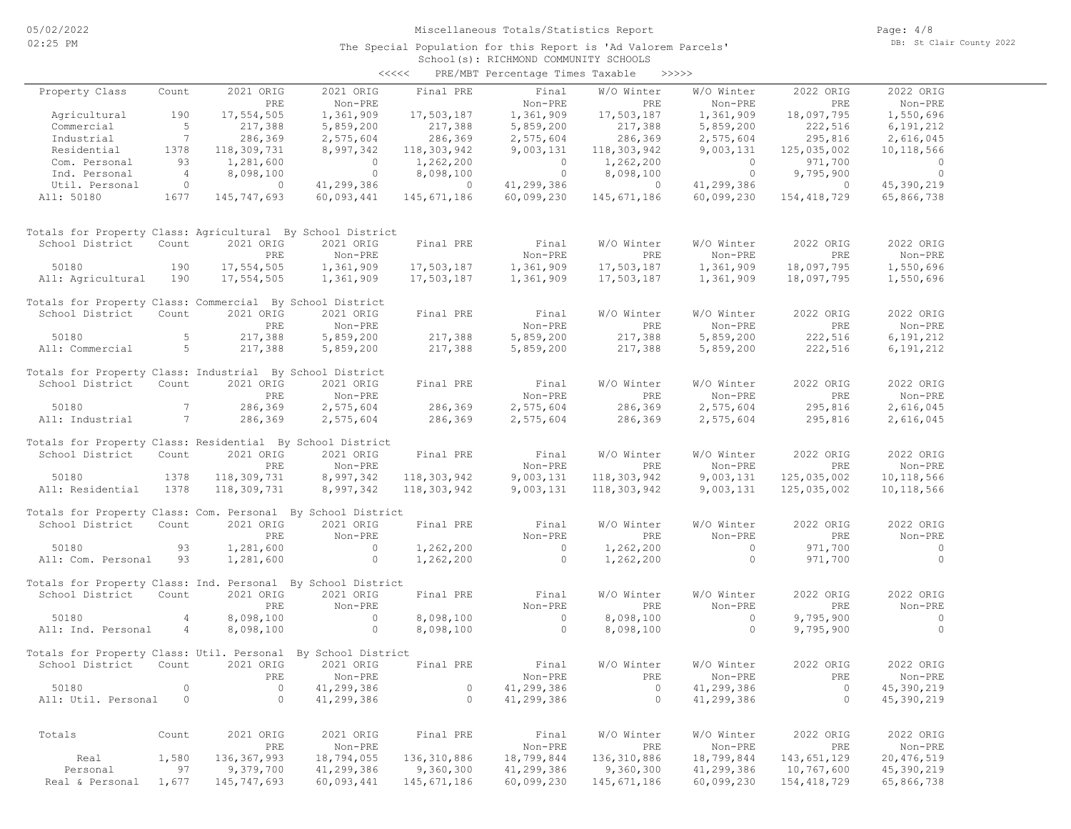|                                                              |                |                |                | <<<<              | PRE/MBT Percentage Times Taxable |               | >>>>>          |                |                |  |
|--------------------------------------------------------------|----------------|----------------|----------------|-------------------|----------------------------------|---------------|----------------|----------------|----------------|--|
| Property Class                                               | Count          | 2021 ORIG      | 2021 ORIG      | Final PRE         | Final                            | W/O Winter    | W/O Winter     | 2022 ORIG      | 2022 ORIG      |  |
|                                                              |                | PRE            | Non-PRE        |                   | Non-PRE                          | PRE           | Non-PRE        | PRE            | Non-PRE        |  |
| Agricultural                                                 | 190            | 17,554,505     | 1,361,909      | 17,503,187        | 1,361,909                        | 17,503,187    | 1,361,909      | 18,097,795     | 1,550,696      |  |
| Commercial                                                   | 5              | 217,388        | 5,859,200      | 217,388           | 5,859,200                        | 217,388       | 5,859,200      | 222,516        | 6,191,212      |  |
| Industrial                                                   | 7              | 286,369        | 2,575,604      | 286,369           | 2,575,604                        | 286,369       | 2,575,604      | 295,816        | 2,616,045      |  |
| Residential                                                  | 1378           | 118,309,731    | 8,997,342      | 118,303,942       | 9,003,131                        | 118,303,942   | 9,003,131      | 125,035,002    | 10,118,566     |  |
| Com. Personal                                                | 93             | 1,281,600      | $\overline{0}$ | 1,262,200         | $\circ$                          | 1,262,200     | $\overline{0}$ | 971,700        | $\overline{0}$ |  |
| Ind. Personal                                                | $\overline{4}$ | 8,098,100      | $\overline{0}$ | 8,098,100         | $\overline{0}$                   | 8,098,100     | $\overline{0}$ | 9,795,900      | $\overline{0}$ |  |
| Util. Personal                                               | $\overline{0}$ | $\overline{0}$ | 41,299,386     | $\sim$ 0 $\sim$ 0 | 41,299,386                       | $\circ$       | 41,299,386     | $\overline{0}$ | 45,390,219     |  |
| All: 50180                                                   | 1677           | 145,747,693    | 60,093,441     | 145,671,186       | 60,099,230                       | 145,671,186   | 60,099,230     | 154,418,729    | 65,866,738     |  |
|                                                              |                |                |                |                   |                                  |               |                |                |                |  |
| Totals for Property Class: Agricultural By School District   |                |                |                |                   |                                  |               |                |                |                |  |
| School District                                              | Count          | 2021 ORIG      | 2021 ORIG      | Final PRE         | Final                            | W/O Winter    | W/O Winter     | 2022 ORIG      | 2022 ORIG      |  |
|                                                              |                | PRE            | Non-PRE        |                   | Non-PRE                          | PRE           | Non-PRE        | PRE            | Non-PRE        |  |
| 50180                                                        | 190            | 17,554,505     | 1,361,909      | 17,503,187        | 1,361,909                        | 17,503,187    | 1,361,909      | 18,097,795     | 1,550,696      |  |
| All: Agricultural                                            | 190            | 17,554,505     | 1,361,909      | 17,503,187        | 1,361,909                        | 17,503,187    | 1,361,909      | 18,097,795     | 1,550,696      |  |
| Totals for Property Class: Commercial By School District     |                |                |                |                   |                                  |               |                |                |                |  |
| School District                                              | Count          | 2021 ORIG      | 2021 ORIG      | Final PRE         | Final                            | W/O Winter    | W/O Winter     | 2022 ORIG      | 2022 ORIG      |  |
|                                                              |                | PRE            | Non-PRE        |                   | Non-PRE                          | PRE           | Non-PRE        | PRE            | Non-PRE        |  |
| 50180                                                        | 5              | 217,388        | 5,859,200      | 217,388           | 5,859,200                        | 217,388       | 5,859,200      | 222,516        | 6,191,212      |  |
| All: Commercial                                              | $5^{\circ}$    | 217,388        | 5,859,200      | 217,388           | 5,859,200                        | 217,388       | 5,859,200      | 222,516        | 6,191,212      |  |
|                                                              |                |                |                |                   |                                  |               |                |                |                |  |
| Totals for Property Class: Industrial By School District     |                |                |                |                   |                                  |               |                |                |                |  |
| School District                                              | Count          | 2021 ORIG      | 2021 ORIG      | Final PRE         | Final                            | W/O Winter    | W/O Winter     | 2022 ORIG      | 2022 ORIG      |  |
|                                                              |                | PRE            | Non-PRE        |                   | Non-PRE                          | PRE           | Non-PRE        | PRE            | Non-PRE        |  |
| 50180                                                        | 7              | 286,369        | 2,575,604      | 286,369           | 2,575,604                        | 286,369       | 2,575,604      | 295,816        | 2,616,045      |  |
| All: Industrial                                              | 7              | 286,369        | 2,575,604      | 286,369           | 2,575,604                        | 286,369       | 2,575,604      | 295,816        | 2,616,045      |  |
| Totals for Property Class: Residential By School District    |                |                |                |                   |                                  |               |                |                |                |  |
| School District                                              | Count          | 2021 ORIG      | 2021 ORIG      | Final PRE         | Final                            | W/O Winter    | W/O Winter     | 2022 ORIG      | 2022 ORIG      |  |
|                                                              |                | PRE            | Non-PRE        |                   | Non-PRE                          | PRE           | Non-PRE        | PRE            | Non-PRE        |  |
| 50180                                                        | 1378           | 118,309,731    | 8,997,342      | 118,303,942       | 9,003,131                        | 118,303,942   | 9,003,131      | 125,035,002    | 10,118,566     |  |
| All: Residential                                             | 1378           | 118,309,731    |                |                   | 9,003,131                        |               | 9,003,131      | 125,035,002    | 10,118,566     |  |
|                                                              |                |                | 8,997,342      | 118,303,942       |                                  | 118,303,942   |                |                |                |  |
| Totals for Property Class: Com. Personal By School District  |                |                |                |                   |                                  |               |                |                |                |  |
| School District                                              | Count          | 2021 ORIG      | 2021 ORIG      | Final PRE         | Final                            | W/O Winter    | W/O Winter     | 2022 ORIG      | 2022 ORIG      |  |
|                                                              |                | PRE            | Non-PRE        |                   | Non-PRE                          | PRE           | Non-PRE        | PRE            | Non-PRE        |  |
| 50180                                                        | 93             | 1,281,600      | $\overline{0}$ | 1,262,200         | $\circ$                          | 1,262,200     | $\circ$        | 971,700        | $\circ$        |  |
| All: Com. Personal                                           | 93             | 1,281,600      | $\sim$ 0       | 1,262,200         | $\circ$                          | 1,262,200     | $\circ$        | 971,700        | $\circ$        |  |
|                                                              |                |                |                |                   |                                  |               |                |                |                |  |
| Totals for Property Class: Ind. Personal By School District  |                |                |                |                   |                                  |               |                |                |                |  |
| School District                                              | Count          | 2021 ORIG      | 2021 ORIG      | Final PRE         | Final                            | W/O Winter    | W/O Winter     | 2022 ORIG      | 2022 ORIG      |  |
|                                                              |                | PRE            | Non-PRE        |                   | Non-PRE                          | PRE           | Non-PRE        | PRE            | Non-PRE        |  |
| 50180                                                        | 4              | 8,098,100      | $\overline{0}$ | 8,098,100         | $\sim$ 0                         | 8,098,100     | $\overline{0}$ | 9,795,900      | $\bigcirc$     |  |
| All: Ind. Personal                                           | 4              | 8,098,100      | $\circ$        | 8,098,100         | $\circ$                          | 8,098,100     | $\circ$        | 9,795,900      | $\overline{0}$ |  |
| Totals for Property Class: Util. Personal By School District |                |                |                |                   |                                  |               |                |                |                |  |
| School District                                              | Count          | 2021 ORIG      | 2021 ORIG      | Final PRE         | Final                            | W/O Winter    | W/O Winter     | 2022 ORIG      | 2022 ORIG      |  |
|                                                              |                | <b>PRE</b>     | Non-PRE        |                   | Non-PRE                          | PRE           | Non-PRE        | PRE            | Non-PRE        |  |
| 50180                                                        | $\circ$        | 0              | 41,299,386     | $\circ$           | 41,299,386                       | 0             | 41,299,386     | 0              | 45,390,219     |  |
| All: Util. Personal                                          | $\overline{0}$ | $\circ$        | 41,299,386     | $\circ$           | 41,299,386                       | $\circ$       | 41,299,386     | $\circ$        | 45,390,219     |  |
|                                                              |                |                |                |                   |                                  |               |                |                |                |  |
| Totals                                                       | Count          | 2021 ORIG      | 2021 ORIG      | Final PRE         | Final                            | W/O Winter    | W/O Winter     | 2022 ORIG      | 2022 ORIG      |  |
|                                                              |                | PRE            | Non-PRE        |                   | Non-PRE                          | PRE           | Non-PRE        | PRE            | Non-PRE        |  |
| Real                                                         | 1,580          | 136, 367, 993  | 18,794,055     | 136,310,886       | 18,799,844                       | 136, 310, 886 | 18,799,844     | 143,651,129    | 20, 476, 519   |  |
| Personal                                                     | 97             |                |                | 9,360,300         | 41,299,386                       |               |                |                |                |  |
|                                                              |                | 9,379,700      | 41,299,386     |                   |                                  | 9,360,300     | 41,299,386     | 10,767,600     | 45,390,219     |  |
| Real & Personal                                              | 1,677          | 145,747,693    | 60,093,441     | 145,671,186       | 60,099,230                       | 145,671,186   | 60,099,230     | 154, 418, 729  | 65,866,738     |  |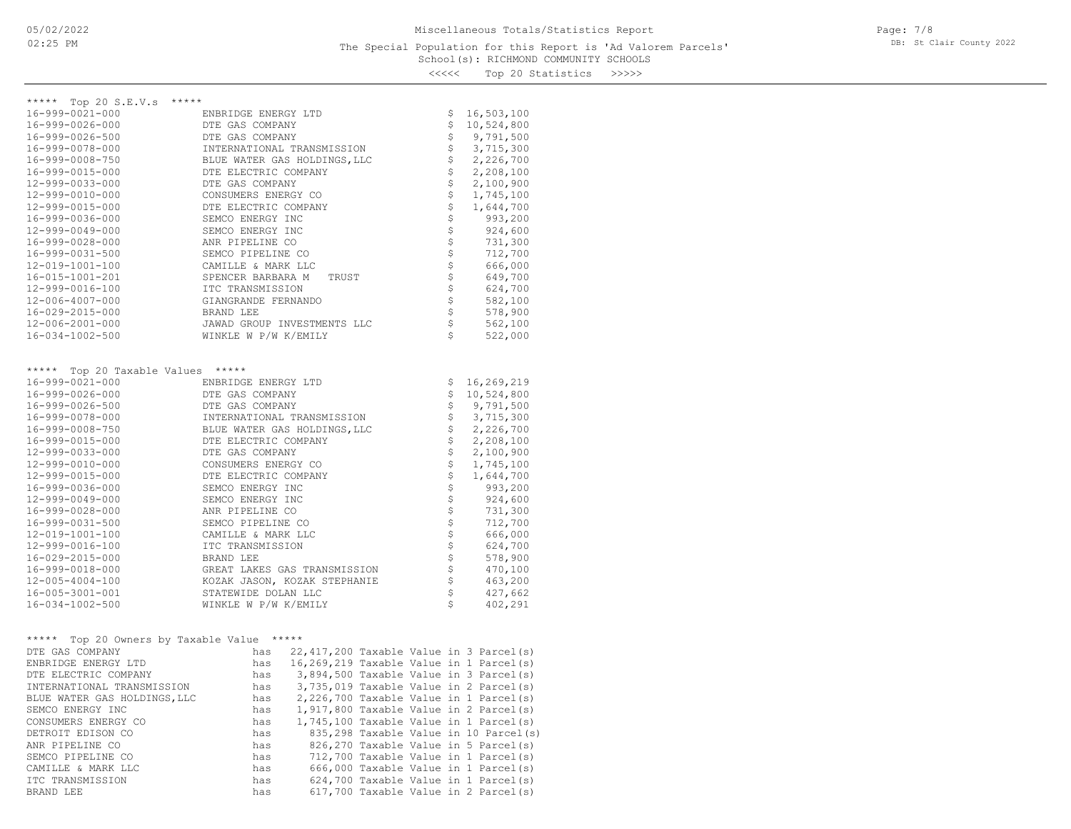## School(s): RICHMOND COMMUNITY SCHOOLS The Special Population for this Report is 'Ad Valorem Parcels'

Page: 7/8 DB: St Clair County 2022

<<<<< Top 20 Statistics >>>>>

| ***** Top 20 S.E.V.s *****                                                                 |                                                           |                    |                                             |
|--------------------------------------------------------------------------------------------|-----------------------------------------------------------|--------------------|---------------------------------------------|
| 16-999-0021-000                                                                            | ENBRIDGE ENERGY LTD                                       | \$                 | 16,503,100                                  |
| 16-999-0026-000                                                                            | DTE GAS COMPANY                                           | \$                 | 10,524,800                                  |
| 16-999-0026-500                                                                            | DTE GAS COMPANY                                           |                    | \$9,791,500                                 |
| 16-999-0078-000                                                                            | INTERNATIONAL TRANSMISSION                                |                    | $$3,715,300\n$2,226,700\n$2,208,100$        |
| 16-999-0008-750                                                                            | BLUE WATER GAS HOLDINGS, LLC                              |                    |                                             |
| 16-999-0015-000                                                                            | DTE ELECTRIC COMPANY                                      |                    |                                             |
| 12-999-0033-000                                                                            | DTE GAS COMPANY                                           |                    | 2,100,900                                   |
| 12-999-0010-000                                                                            | CONSUMERS ENERGY CO                                       |                    | 1,745,100                                   |
| 12-999-0015-000                                                                            | DTE ELECTRIC COMPANY                                      | 5555               | 1,644,700                                   |
| 16-999-0036-000                                                                            | SEMCO ENERGY INC                                          |                    |                                             |
|                                                                                            |                                                           |                    | 993,200                                     |
| 12-999-0049-000                                                                            | SEMCO ENERGY INC                                          |                    | 924,600                                     |
| 16-999-0028-000                                                                            | ANR PIPELINE CO                                           |                    | 731,300                                     |
| 16-999-0031-500                                                                            | SEMCO PIPELINE CO                                         |                    | 712,700                                     |
| 12-019-1001-100                                                                            | CAMILLE & MARK LLC                                        |                    | 666,000                                     |
| 16-015-1001-201                                                                            | SPENCER BARBARA M<br>TRUST                                |                    | 649,700                                     |
| 12-999-0016-100                                                                            | ITC TRANSMISSION                                          |                    | 624,700                                     |
| 12-006-4007-000                                                                            | GIANGRANDE FERNANDO                                       |                    | 582,100                                     |
| 16-029-2015-000                                                                            | BRAND LEE                                                 |                    | 578,900                                     |
| 12-006-2001-000                                                                            | JAWAD GROUP INVESTMENTS LLC                               |                    | 562,100                                     |
| 16-034-1002-500                                                                            | WINKLE W P/W K/EMILY                                      | Ś.                 | 522,000                                     |
| ***** Top 20 Taxable Values *****<br>16-999-0021-000<br>16-999-0026-000<br>16-999-0026-500 | ENBRIDGE ENERGY LTD<br>DTE GAS COMPANY<br>DTE GAS COMPANY | \$                 | \$16, 269, 219<br>\$10,524,800<br>9,791,500 |
| 16-999-0078-000                                                                            | INTERNATIONAL TRANSMISSION                                | $\ddot{\varsigma}$ | 3,715,300                                   |
| 16-999-0008-750                                                                            | BLUE WATER GAS HOLDINGS, LLC                              |                    | $\frac{1}{2}$ , 226, 700                    |
| 16-999-0015-000                                                                            | DTE ELECTRIC COMPANY                                      |                    | 2,208,100                                   |
| 12-999-0033-000                                                                            | DTE GAS COMPANY                                           |                    | 2,100,900                                   |
| 12-999-0010-000                                                                            | CONSUMERS ENERGY CO                                       |                    | 1,745,100                                   |
| 12-999-0015-000                                                                            | DTE ELECTRIC COMPANY                                      |                    | 1,644,700                                   |
| 16-999-0036-000                                                                            | SEMCO ENERGY INC                                          |                    | 993,200<br>924,600                          |
| 12-999-0049-000                                                                            |                                                           |                    |                                             |
| 16-999-0028-000                                                                            | SEMCO ENERGY INC                                          |                    | 731,300                                     |
|                                                                                            | ANR PIPELINE CO                                           |                    |                                             |
| 16-999-0031-500                                                                            | SEMCO PIPELINE CO                                         |                    | 712,700                                     |
| 12-019-1001-100                                                                            | CAMILLE & MARK LLC                                        |                    | 666,000                                     |
| 12-999-0016-100                                                                            | ITC TRANSMISSION                                          |                    | 624,700                                     |
| 16-029-2015-000                                                                            | BRAND LEE                                                 |                    | 578,900                                     |
| 16-999-0018-000                                                                            | GREAT LAKES GAS TRANSMISSION                              |                    | 470,100                                     |
| 12-005-4004-100                                                                            | KOZAK JASON, KOZAK STEPHANIE                              |                    | 463,200                                     |
| 16-005-3001-001                                                                            | STATEWIDE DOLAN LLC                                       |                    | 427,662                                     |
| 16-034-1002-500                                                                            | WINKLE W P/W K/EMILY                                      |                    | 402,291                                     |
|                                                                                            |                                                           |                    |                                             |
|                                                                                            | ***** Top 20 Owners by Taxable Value *****                |                    |                                             |
|                                                                                            |                                                           |                    |                                             |

| DTE GAS COMPANY              | has |  | 22,417,200 Taxable Value in 3 Parcel(s)  |
|------------------------------|-----|--|------------------------------------------|
| ENBRIDGE ENERGY LTD          | has |  | 16,269,219 Taxable Value in 1 Parcel(s)  |
| DTE ELECTRIC COMPANY         | has |  | 3,894,500 Taxable Value in 3 Parcel(s)   |
| INTERNATIONAL TRANSMISSION   | has |  | 3,735,019 Taxable Value in 2 Parcel(s)   |
| BLUE WATER GAS HOLDINGS, LLC | has |  | $2,226,700$ Taxable Value in 1 Parcel(s) |
| SEMCO ENERGY INC             | has |  | $1,917,800$ Taxable Value in 2 Parcel(s) |
| CONSUMERS ENERGY CO          | has |  | 1,745,100 Taxable Value in 1 Parcel(s)   |
| DETROIT EDISON CO            | has |  | 835,298 Taxable Value in 10 Parcel(s)    |
| ANR PIPELINE CO              | has |  | 826,270 Taxable Value in 5 Parcel(s)     |
| SEMCO PIPELINE CO            | has |  | 712,700 Taxable Value in 1 Parcel(s)     |
| CAMILLE & MARK LLC           | has |  | 666,000 Taxable Value in 1 Parcel(s)     |
| ITC TRANSMISSION             | has |  | 624,700 Taxable Value in 1 Parcel(s)     |
| BRAND LEE                    | has |  | 617,700 Taxable Value in 2 Parcel(s)     |